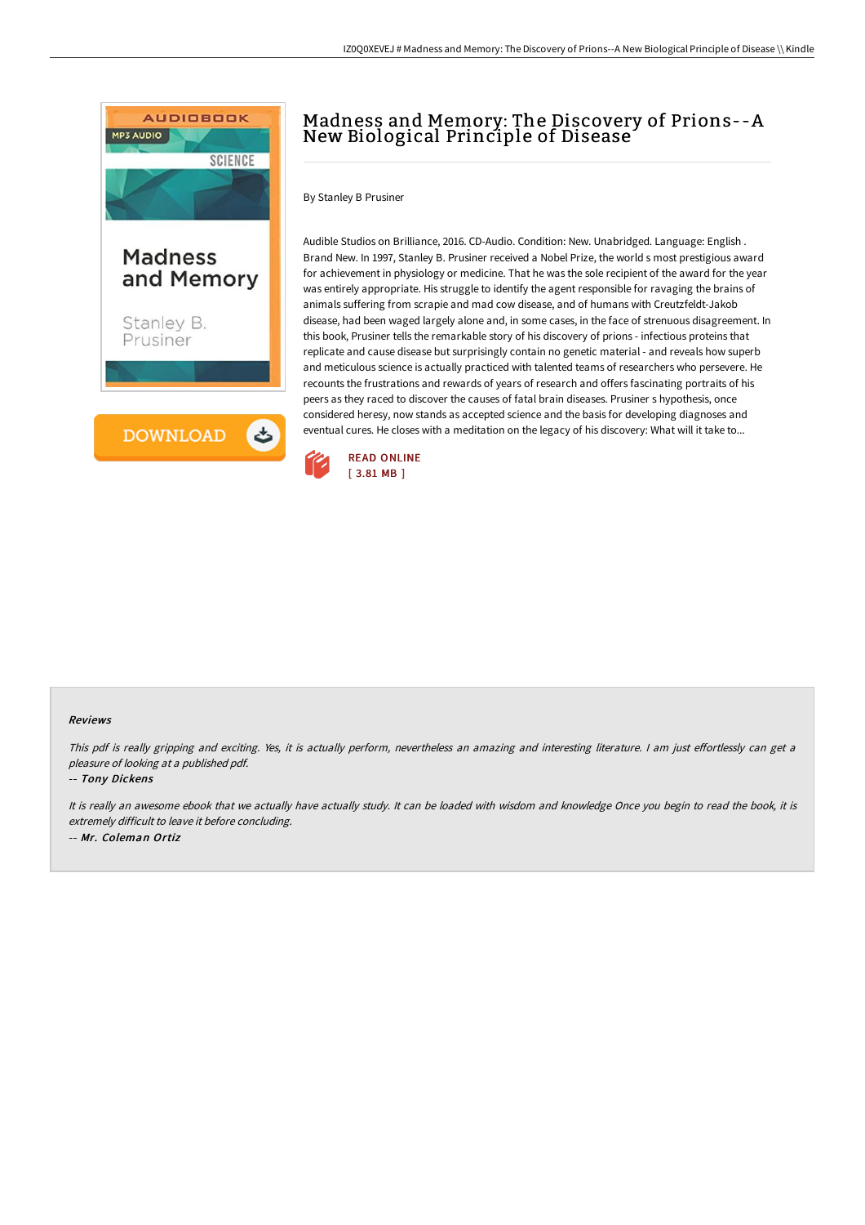

# Madness and Memory: The Discovery of Prions--A New Biological Principle of Disease

By Stanley B Prusiner

Audible Studios on Brilliance, 2016. CD-Audio. Condition: New. Unabridged. Language: English . Brand New. In 1997, Stanley B. Prusiner received a Nobel Prize, the world s most prestigious award for achievement in physiology or medicine. That he was the sole recipient of the award for the year was entirely appropriate. His struggle to identify the agent responsible for ravaging the brains of animals suffering from scrapie and mad cow disease, and of humans with Creutzfeldt-Jakob disease, had been waged largely alone and, in some cases, in the face of strenuous disagreement. In this book, Prusiner tells the remarkable story of his discovery of prions - infectious proteins that replicate and cause disease but surprisingly contain no genetic material - and reveals how superb and meticulous science is actually practiced with talented teams of researchers who persevere. He recounts the frustrations and rewards of years of research and offers fascinating portraits of his peers as they raced to discover the causes of fatal brain diseases. Prusiner s hypothesis, once considered heresy, now stands as accepted science and the basis for developing diagnoses and eventual cures. He closes with a meditation on the legacy of his discovery: What will it take to...



#### Reviews

This pdf is really gripping and exciting. Yes, it is actually perform, nevertheless an amazing and interesting literature. I am just effortlessly can get a pleasure of looking at <sup>a</sup> published pdf.

#### -- Tony Dickens

It is really an awesome ebook that we actually have actually study. It can be loaded with wisdom and knowledge Once you begin to read the book, it is extremely difficult to leave it before concluding. -- Mr. Coleman Ortiz